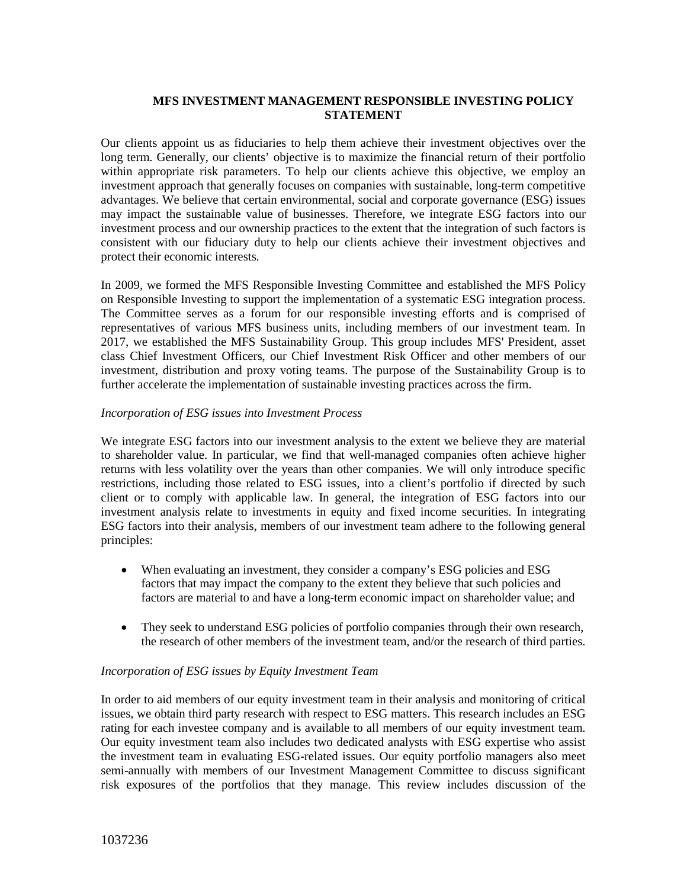# **MFS INVESTMENT MANAGEMENT RESPONSIBLE INVESTING POLICY STATEMENT**

Our clients appoint us as fiduciaries to help them achieve their investment objectives over the long term. Generally, our clients' objective is to maximize the financial return of their portfolio within appropriate risk parameters. To help our clients achieve this objective, we employ an investment approach that generally focuses on companies with sustainable, long-term competitive advantages. We believe that certain environmental, social and corporate governance (ESG) issues may impact the sustainable value of businesses. Therefore, we integrate ESG factors into our investment process and our ownership practices to the extent that the integration of such factors is consistent with our fiduciary duty to help our clients achieve their investment objectives and protect their economic interests.

In 2009, we formed the MFS Responsible Investing Committee and established the MFS Policy on Responsible Investing to support the implementation of a systematic ESG integration process. The Committee serves as a forum for our responsible investing efforts and is comprised of representatives of various MFS business units, including members of our investment team. In 2017, we established the MFS Sustainability Group. This group includes MFS' President, asset class Chief Investment Officers, our Chief Investment Risk Officer and other members of our investment, distribution and proxy voting teams. The purpose of the Sustainability Group is to further accelerate the implementation of sustainable investing practices across the firm.

### *Incorporation of ESG issues into Investment Process*

We integrate ESG factors into our investment analysis to the extent we believe they are material to shareholder value. In particular, we find that well-managed companies often achieve higher returns with less volatility over the years than other companies. We will only introduce specific restrictions, including those related to ESG issues, into a client's portfolio if directed by such client or to comply with applicable law. In general, the integration of ESG factors into our investment analysis relate to investments in equity and fixed income securities. In integrating ESG factors into their analysis, members of our investment team adhere to the following general principles:

- When evaluating an investment, they consider a company's ESG policies and ESG factors that may impact the company to the extent they believe that such policies and factors are material to and have a long-term economic impact on shareholder value; and
- They seek to understand ESG policies of portfolio companies through their own research, the research of other members of the investment team, and/or the research of third parties.

## *Incorporation of ESG issues by Equity Investment Team*

In order to aid members of our equity investment team in their analysis and monitoring of critical issues, we obtain third party research with respect to ESG matters. This research includes an ESG rating for each investee company and is available to all members of our equity investment team. Our equity investment team also includes two dedicated analysts with ESG expertise who assist the investment team in evaluating ESG-related issues. Our equity portfolio managers also meet semi-annually with members of our Investment Management Committee to discuss significant risk exposures of the portfolios that they manage. This review includes discussion of the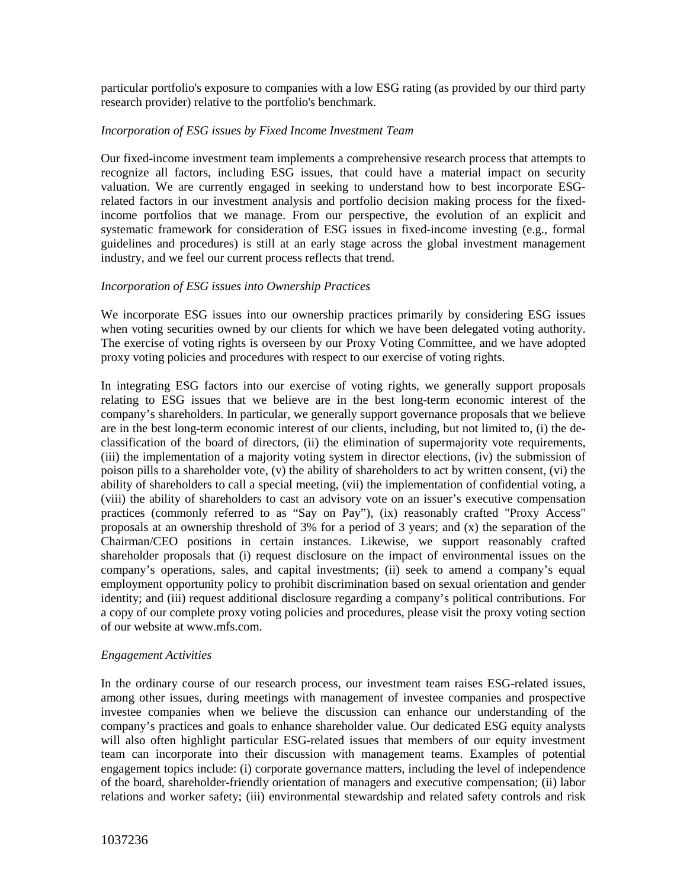particular portfolio's exposure to companies with a low ESG rating (as provided by our third party research provider) relative to the portfolio's benchmark.

# *Incorporation of ESG issues by Fixed Income Investment Team*

Our fixed-income investment team implements a comprehensive research process that attempts to recognize all factors, including ESG issues, that could have a material impact on security valuation. We are currently engaged in seeking to understand how to best incorporate ESGrelated factors in our investment analysis and portfolio decision making process for the fixedincome portfolios that we manage. From our perspective, the evolution of an explicit and systematic framework for consideration of ESG issues in fixed-income investing (e.g., formal guidelines and procedures) is still at an early stage across the global investment management industry, and we feel our current process reflects that trend.

## *Incorporation of ESG issues into Ownership Practices*

We incorporate ESG issues into our ownership practices primarily by considering ESG issues when voting securities owned by our clients for which we have been delegated voting authority. The exercise of voting rights is overseen by our Proxy Voting Committee, and we have adopted proxy voting policies and procedures with respect to our exercise of voting rights.

In integrating ESG factors into our exercise of voting rights, we generally support proposals relating to ESG issues that we believe are in the best long-term economic interest of the company's shareholders. In particular, we generally support governance proposals that we believe are in the best long-term economic interest of our clients, including, but not limited to, (i) the declassification of the board of directors, (ii) the elimination of supermajority vote requirements, (iii) the implementation of a majority voting system in director elections, (iv) the submission of poison pills to a shareholder vote, (v) the ability of shareholders to act by written consent, (vi) the ability of shareholders to call a special meeting, (vii) the implementation of confidential voting, a (viii) the ability of shareholders to cast an advisory vote on an issuer's executive compensation practices (commonly referred to as "Say on Pay"), (ix) reasonably crafted "Proxy Access" proposals at an ownership threshold of  $3\%$  for a period of 3 years; and  $(x)$  the separation of the Chairman/CEO positions in certain instances. Likewise, we support reasonably crafted shareholder proposals that (i) request disclosure on the impact of environmental issues on the company's operations, sales, and capital investments; (ii) seek to amend a company's equal employment opportunity policy to prohibit discrimination based on sexual orientation and gender identity; and (iii) request additional disclosure regarding a company's political contributions. For a copy of our complete proxy voting policies and procedures, please visit the proxy voting section of our website at [www.mfs.com.](http://www.mfs.com/)

## *Engagement Activities*

In the ordinary course of our research process, our investment team raises ESG-related issues, among other issues, during meetings with management of investee companies and prospective investee companies when we believe the discussion can enhance our understanding of the company's practices and goals to enhance shareholder value. Our dedicated ESG equity analysts will also often highlight particular ESG-related issues that members of our equity investment team can incorporate into their discussion with management teams. Examples of potential engagement topics include: (i) corporate governance matters, including the level of independence of the board, shareholder-friendly orientation of managers and executive compensation; (ii) labor relations and worker safety; (iii) environmental stewardship and related safety controls and risk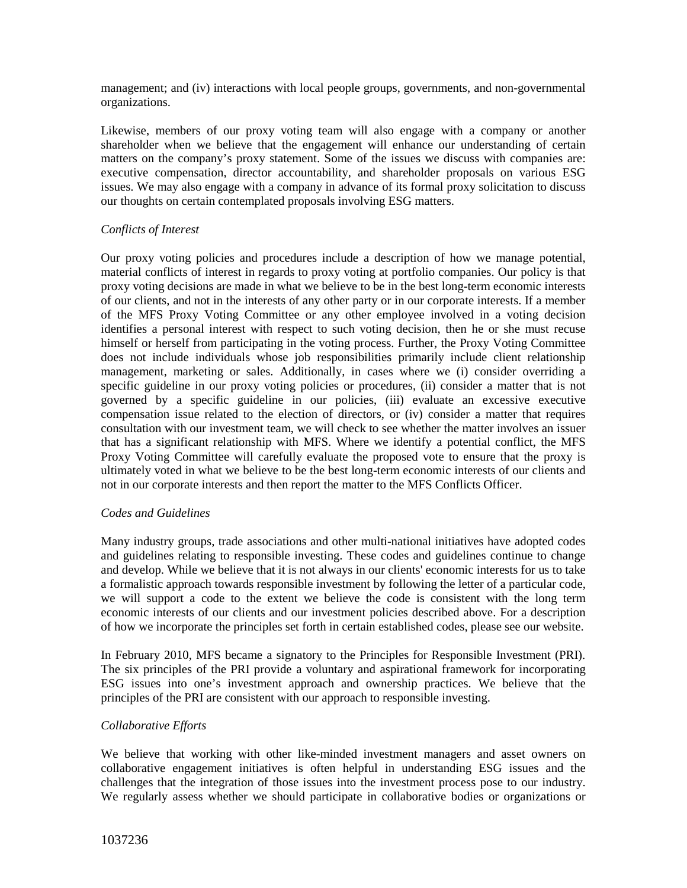management; and (iv) interactions with local people groups, governments, and non-governmental organizations.

Likewise, members of our proxy voting team will also engage with a company or another shareholder when we believe that the engagement will enhance our understanding of certain matters on the company's proxy statement. Some of the issues we discuss with companies are: executive compensation, director accountability, and shareholder proposals on various ESG issues. We may also engage with a company in advance of its formal proxy solicitation to discuss our thoughts on certain contemplated proposals involving ESG matters.

## *Conflicts of Interest*

Our proxy voting policies and procedures include a description of how we manage potential, material conflicts of interest in regards to proxy voting at portfolio companies. Our policy is that proxy voting decisions are made in what we believe to be in the best long-term economic interests of our clients, and not in the interests of any other party or in our corporate interests. If a member of the MFS Proxy Voting Committee or any other employee involved in a voting decision identifies a personal interest with respect to such voting decision, then he or she must recuse himself or herself from participating in the voting process. Further, the Proxy Voting Committee does not include individuals whose job responsibilities primarily include client relationship management, marketing or sales. Additionally, in cases where we (i) consider overriding a specific guideline in our proxy voting policies or procedures, (ii) consider a matter that is not governed by a specific guideline in our policies, (iii) evaluate an excessive executive compensation issue related to the election of directors, or (iv) consider a matter that requires consultation with our investment team, we will check to see whether the matter involves an issuer that has a significant relationship with MFS. Where we identify a potential conflict, the MFS Proxy Voting Committee will carefully evaluate the proposed vote to ensure that the proxy is ultimately voted in what we believe to be the best long-term economic interests of our clients and not in our corporate interests and then report the matter to the MFS Conflicts Officer.

#### *Codes and Guidelines*

Many industry groups, trade associations and other multi-national initiatives have adopted codes and guidelines relating to responsible investing. These codes and guidelines continue to change and develop. While we believe that it is not always in our clients' economic interests for us to take a formalistic approach towards responsible investment by following the letter of a particular code, we will support a code to the extent we believe the code is consistent with the long term economic interests of our clients and our investment policies described above. For a description of how we incorporate the principles set forth in certain established codes, please see our website.

In February 2010, MFS became a signatory to the Principles for Responsible Investment (PRI). The six principles of the PRI provide a voluntary and aspirational framework for incorporating ESG issues into one's investment approach and ownership practices. We believe that the principles of the PRI are consistent with our approach to responsible investing.

#### *Collaborative Efforts*

We believe that working with other like-minded investment managers and asset owners on collaborative engagement initiatives is often helpful in understanding ESG issues and the challenges that the integration of those issues into the investment process pose to our industry. We regularly assess whether we should participate in collaborative bodies or organizations or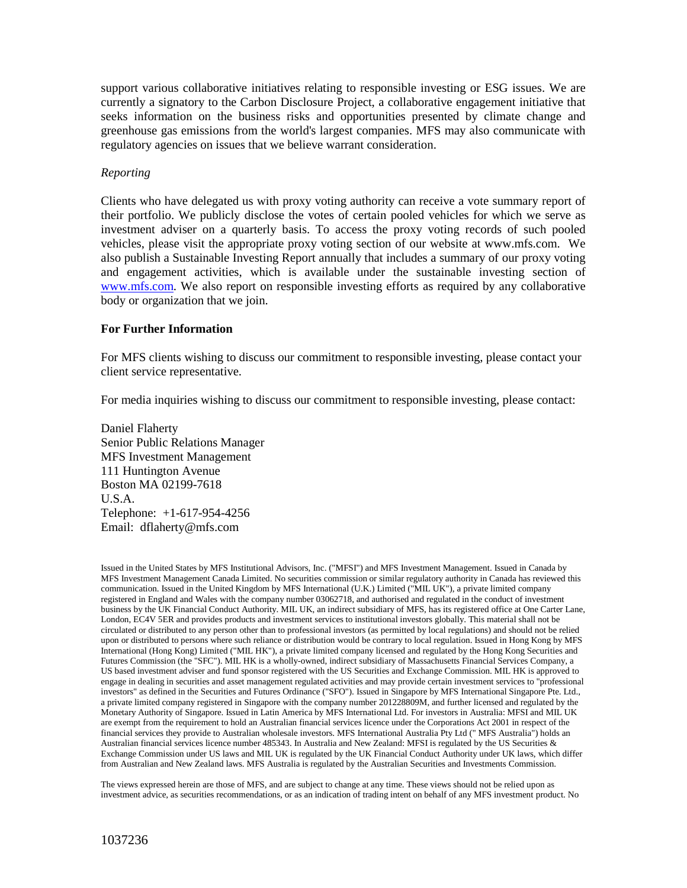support various collaborative initiatives relating to responsible investing or ESG issues. We are currently a signatory to the Carbon Disclosure Project, a collaborative engagement initiative that seeks information on the business risks and opportunities presented by climate change and greenhouse gas emissions from the world's largest companies. MFS may also communicate with regulatory agencies on issues that we believe warrant consideration.

### *Reporting*

Clients who have delegated us with proxy voting authority can receive a vote summary report of their portfolio. We publicly disclose the votes of certain pooled vehicles for which we serve as investment adviser on a quarterly basis. To access the proxy voting records of such pooled vehicles, please visit the appropriate proxy voting section of our website at [www.mfs.com.](http://www.mfs.com/) We also publish a Sustainable Investing Report annually that includes a summary of our proxy voting and engagement activities, which is available under the sustainable investing section of [www.mfs.com.](http://www.mfs.com/) We also report on responsible investing efforts as required by any collaborative body or organization that we join.

## **For Further Information**

For MFS clients wishing to discuss our commitment to responsible investing, please contact your client service representative.

For media inquiries wishing to discuss our commitment to responsible investing, please contact:

Daniel Flaherty Senior Public Relations Manager MFS Investment Management 111 Huntington Avenue Boston MA 02199-7618 U.S.A. Telephone: +1-617-954-4256 Email: dflaherty@mfs.com

Issued in the United States by MFS Institutional Advisors, Inc. ("MFSI") and MFS Investment Management. Issued in Canada by MFS Investment Management Canada Limited. No securities commission or similar regulatory authority in Canada has reviewed this communication. Issued in the United Kingdom by MFS International (U.K.) Limited ("MIL UK"), a private limited company registered in England and Wales with the company number 03062718, and authorised and regulated in the conduct of investment business by the UK Financial Conduct Authority. MIL UK, an indirect subsidiary of MFS, has its registered office at One Carter Lane, London, EC4V 5ER and provides products and investment services to institutional investors globally. This material shall not be circulated or distributed to any person other than to professional investors (as permitted by local regulations) and should not be relied upon or distributed to persons where such reliance or distribution would be contrary to local regulation. Issued in Hong Kong by MFS International (Hong Kong) Limited ("MIL HK"), a private limited company licensed and regulated by the Hong Kong Securities and Futures Commission (the "SFC"). MIL HK is a wholly-owned, indirect subsidiary of Massachusetts Financial Services Company, a US based investment adviser and fund sponsor registered with the US Securities and Exchange Commission. MIL HK is approved to engage in dealing in securities and asset management regulated activities and may provide certain investment services to "professional investors" as defined in the Securities and Futures Ordinance ("SFO"). Issued in Singapore by MFS International Singapore Pte. Ltd., a private limited company registered in Singapore with the company number 201228809M, and further licensed and regulated by the Monetary Authority of Singapore. Issued in Latin America by MFS International Ltd. For investors in Australia: MFSI and MIL UK are exempt from the requirement to hold an Australian financial services licence under the Corporations Act 2001 in respect of the financial services they provide to Australian wholesale investors. MFS International Australia Pty Ltd (" MFS Australia") holds an Australian financial services licence number 485343. In Australia and New Zealand: MFSI is regulated by the US Securities & Exchange Commission under US laws and MIL UK is regulated by the UK Financial Conduct Authority under UK laws, which differ from Australian and New Zealand laws. MFS Australia is regulated by the Australian Securities and Investments Commission.

The views expressed herein are those of MFS, and are subject to change at any time. These views should not be relied upon as investment advice, as securities recommendations, or as an indication of trading intent on behalf of any MFS investment product. No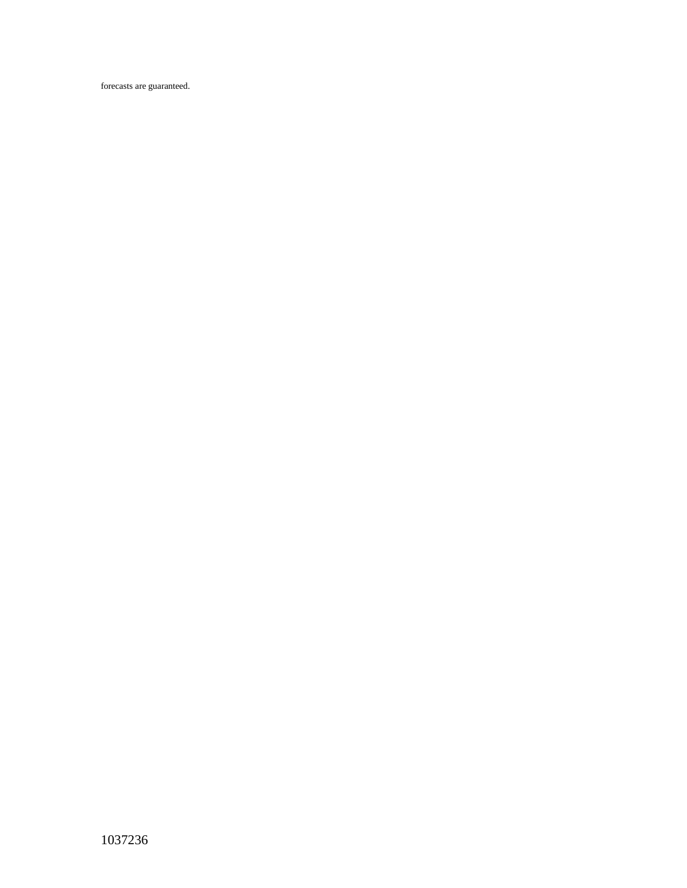forecasts are guaranteed.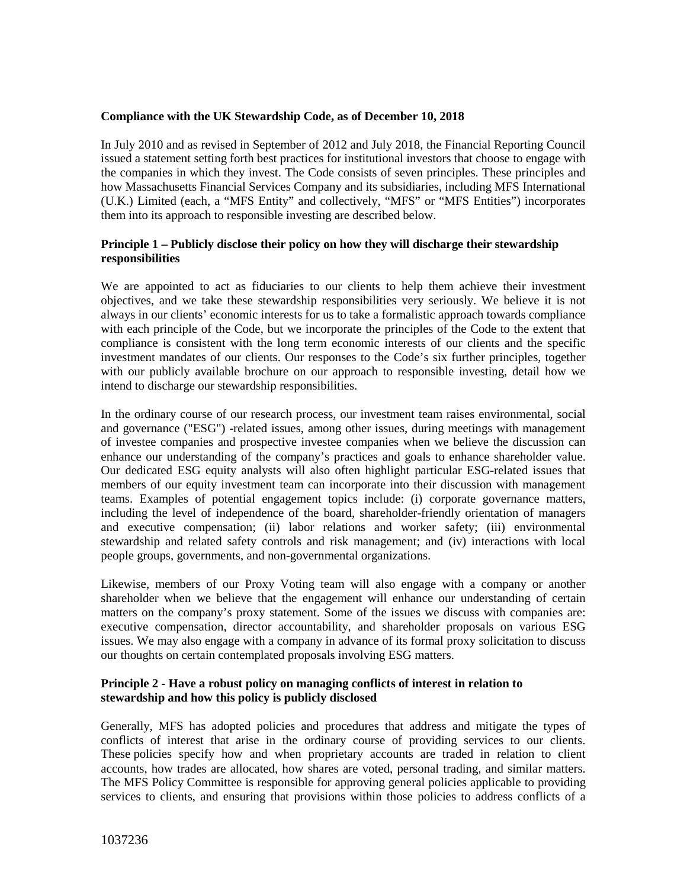## **Compliance with the UK Stewardship Code, as of December 10, 2018**

In July 2010 and as revised in September of 2012 and July 2018, the Financial Reporting Council issued a statement setting forth best practices for institutional investors that choose to engage with the companies in which they invest. The Code consists of seven principles. These principles and how Massachusetts Financial Services Company and its subsidiaries, including MFS International (U.K.) Limited (each, a "MFS Entity" and collectively, "MFS" or "MFS Entities") incorporates them into its approach to responsible investing are described below.

# **Principle 1 – Publicly disclose their policy on how they will discharge their stewardship responsibilities**

We are appointed to act as fiduciaries to our clients to help them achieve their investment objectives, and we take these stewardship responsibilities very seriously. We believe it is not always in our clients' economic interests for us to take a formalistic approach towards compliance with each principle of the Code, but we incorporate the principles of the Code to the extent that compliance is consistent with the long term economic interests of our clients and the specific investment mandates of our clients. Our responses to the Code's six further principles, together with our publicly available brochure on our approach to responsible investing, detail how we intend to discharge our stewardship responsibilities.

In the ordinary course of our research process, our investment team raises environmental, social and governance ("ESG") -related issues, among other issues, during meetings with management of investee companies and prospective investee companies when we believe the discussion can enhance our understanding of the company's practices and goals to enhance shareholder value. Our dedicated ESG equity analysts will also often highlight particular ESG-related issues that members of our equity investment team can incorporate into their discussion with management teams. Examples of potential engagement topics include: (i) corporate governance matters, including the level of independence of the board, shareholder-friendly orientation of managers and executive compensation; (ii) labor relations and worker safety; (iii) environmental stewardship and related safety controls and risk management; and (iv) interactions with local people groups, governments, and non-governmental organizations.

Likewise, members of our Proxy Voting team will also engage with a company or another shareholder when we believe that the engagement will enhance our understanding of certain matters on the company's proxy statement. Some of the issues we discuss with companies are: executive compensation, director accountability, and shareholder proposals on various ESG issues. We may also engage with a company in advance of its formal proxy solicitation to discuss our thoughts on certain contemplated proposals involving ESG matters.

### **Principle 2 - Have a robust policy on managing conflicts of interest in relation to stewardship and how this policy is publicly disclosed**

Generally, MFS has adopted policies and procedures that address and mitigate the types of conflicts of interest that arise in the ordinary course of providing services to our clients. These policies specify how and when proprietary accounts are traded in relation to client accounts, how trades are allocated, how shares are voted, personal trading, and similar matters. The MFS Policy Committee is responsible for approving general policies applicable to providing services to clients, and ensuring that provisions within those policies to address conflicts of a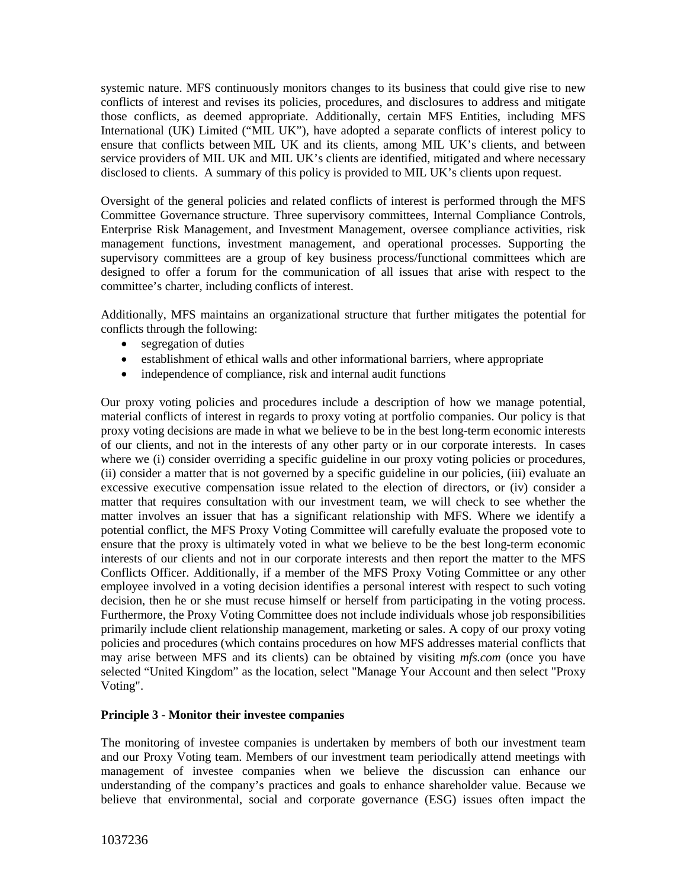systemic nature. MFS continuously monitors changes to its business that could give rise to new conflicts of interest and revises its policies, procedures, and disclosures to address and mitigate those conflicts, as deemed appropriate. Additionally, certain MFS Entities, including MFS International (UK) Limited ("MIL UK"), have adopted a separate conflicts of interest policy to ensure that conflicts between MIL UK and its clients, among MIL UK's clients, and between service providers of MIL UK and MIL UK's clients are identified, mitigated and where necessary disclosed to clients. A summary of this policy is provided to MIL UK's clients upon request.

Oversight of the general policies and related conflicts of interest is performed through the MFS Committee Governance structure. Three supervisory committees, Internal Compliance Controls, Enterprise Risk Management, and Investment Management, oversee compliance activities, risk management functions, investment management, and operational processes. Supporting the supervisory committees are a group of key business process/functional committees which are designed to offer a forum for the communication of all issues that arise with respect to the committee's charter, including conflicts of interest.

Additionally, MFS maintains an organizational structure that further mitigates the potential for conflicts through the following:

- segregation of duties
- establishment of ethical walls and other informational barriers, where appropriate
- independence of compliance, risk and internal audit functions

Our proxy voting policies and procedures include a description of how we manage potential, material conflicts of interest in regards to proxy voting at portfolio companies. Our policy is that proxy voting decisions are made in what we believe to be in the best long-term economic interests of our clients, and not in the interests of any other party or in our corporate interests. In cases where we (i) consider overriding a specific guideline in our proxy voting policies or procedures, (ii) consider a matter that is not governed by a specific guideline in our policies, (iii) evaluate an excessive executive compensation issue related to the election of directors, or (iv) consider a matter that requires consultation with our investment team, we will check to see whether the matter involves an issuer that has a significant relationship with MFS. Where we identify a potential conflict, the MFS Proxy Voting Committee will carefully evaluate the proposed vote to ensure that the proxy is ultimately voted in what we believe to be the best long-term economic interests of our clients and not in our corporate interests and then report the matter to the MFS Conflicts Officer. Additionally, if a member of the MFS Proxy Voting Committee or any other employee involved in a voting decision identifies a personal interest with respect to such voting decision, then he or she must recuse himself or herself from participating in the voting process. Furthermore, the Proxy Voting Committee does not include individuals whose job responsibilities primarily include client relationship management, marketing or sales. A copy of our proxy voting policies and procedures (which contains procedures on how MFS addresses material conflicts that may arise between MFS and its clients) can be obtained by visiting *mfs.com* (once you have selected "United Kingdom" as the location, select "Manage Your Account and then select "Proxy Voting".

## **Principle 3 - Monitor their investee companies**

The monitoring of investee companies is undertaken by members of both our investment team and our Proxy Voting team. Members of our investment team periodically attend meetings with management of investee companies when we believe the discussion can enhance our understanding of the company's practices and goals to enhance shareholder value. Because we believe that environmental, social and corporate governance (ESG) issues often impact the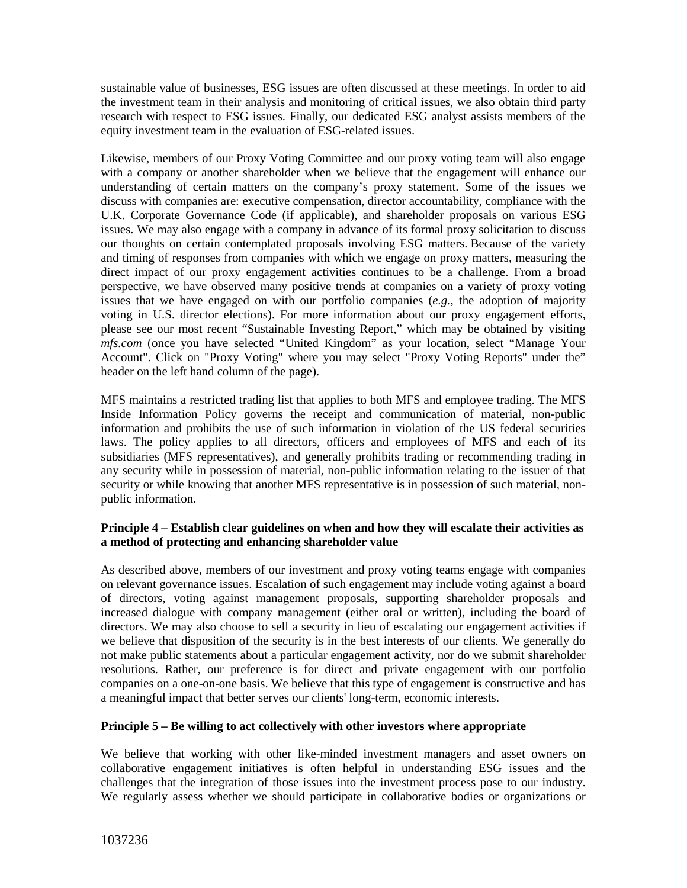sustainable value of businesses, ESG issues are often discussed at these meetings. In order to aid the investment team in their analysis and monitoring of critical issues, we also obtain third party research with respect to ESG issues. Finally, our dedicated ESG analyst assists members of the equity investment team in the evaluation of ESG-related issues.

Likewise, members of our Proxy Voting Committee and our proxy voting team will also engage with a company or another shareholder when we believe that the engagement will enhance our understanding of certain matters on the company's proxy statement. Some of the issues we discuss with companies are: executive compensation, director accountability, compliance with the U.K. Corporate Governance Code (if applicable), and shareholder proposals on various ESG issues. We may also engage with a company in advance of its formal proxy solicitation to discuss our thoughts on certain contemplated proposals involving ESG matters. Because of the variety and timing of responses from companies with which we engage on proxy matters, measuring the direct impact of our proxy engagement activities continues to be a challenge. From a broad perspective, we have observed many positive trends at companies on a variety of proxy voting issues that we have engaged on with our portfolio companies (*e.g.*, the adoption of majority voting in U.S. director elections). For more information about our proxy engagement efforts, please see our most recent "Sustainable Investing Report," which may be obtained by visiting *mfs.com* (once you have selected "United Kingdom" as your location, select "Manage Your Account". Click on "Proxy Voting" where you may select "Proxy Voting Reports" under the" header on the left hand column of the page).

MFS maintains a restricted trading list that applies to both MFS and employee trading. The MFS Inside Information Policy governs the receipt and communication of material, non-public information and prohibits the use of such information in violation of the US federal securities laws. The policy applies to all directors, officers and employees of MFS and each of its subsidiaries (MFS representatives), and generally prohibits trading or recommending trading in any security while in possession of material, non-public information relating to the issuer of that security or while knowing that another MFS representative is in possession of such material, nonpublic information.

# **Principle 4 – Establish clear guidelines on when and how they will escalate their activities as a method of protecting and enhancing shareholder value**

As described above, members of our investment and proxy voting teams engage with companies on relevant governance issues. Escalation of such engagement may include voting against a board of directors, voting against management proposals, supporting shareholder proposals and increased dialogue with company management (either oral or written), including the board of directors. We may also choose to sell a security in lieu of escalating our engagement activities if we believe that disposition of the security is in the best interests of our clients. We generally do not make public statements about a particular engagement activity, nor do we submit shareholder resolutions. Rather, our preference is for direct and private engagement with our portfolio companies on a one-on-one basis. We believe that this type of engagement is constructive and has a meaningful impact that better serves our clients' long-term, economic interests.

# **Principle 5 – Be willing to act collectively with other investors where appropriate**

We believe that working with other like-minded investment managers and asset owners on collaborative engagement initiatives is often helpful in understanding ESG issues and the challenges that the integration of those issues into the investment process pose to our industry. We regularly assess whether we should participate in collaborative bodies or organizations or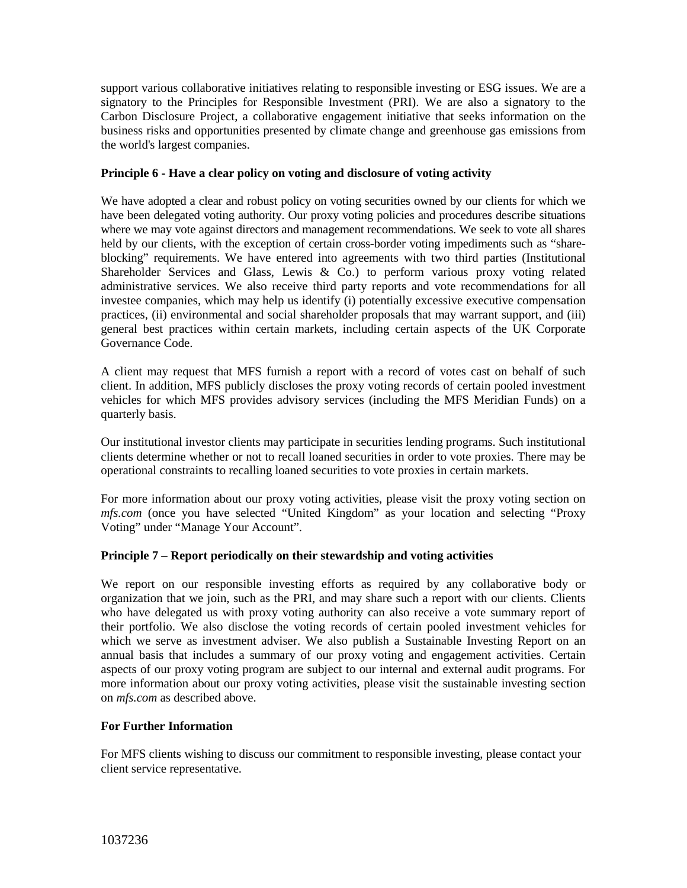support various collaborative initiatives relating to responsible investing or ESG issues. We are a signatory to the Principles for Responsible Investment (PRI). We are also a signatory to the Carbon Disclosure Project, a collaborative engagement initiative that seeks information on the business risks and opportunities presented by climate change and greenhouse gas emissions from the world's largest companies.

# **Principle 6 - Have a clear policy on voting and disclosure of voting activity**

We have adopted a clear and robust policy on voting securities owned by our clients for which we have been delegated voting authority. Our proxy voting policies and procedures describe situations where we may vote against directors and management recommendations. We seek to vote all shares held by our clients, with the exception of certain cross-border voting impediments such as "shareblocking" requirements. We have entered into agreements with two third parties (Institutional Shareholder Services and Glass, Lewis & Co.) to perform various proxy voting related administrative services. We also receive third party reports and vote recommendations for all investee companies, which may help us identify (i) potentially excessive executive compensation practices, (ii) environmental and social shareholder proposals that may warrant support, and (iii) general best practices within certain markets, including certain aspects of the UK Corporate Governance Code.

A client may request that MFS furnish a report with a record of votes cast on behalf of such client. In addition, MFS publicly discloses the proxy voting records of certain pooled investment vehicles for which MFS provides advisory services (including the MFS Meridian Funds) on a quarterly basis.

Our institutional investor clients may participate in securities lending programs. Such institutional clients determine whether or not to recall loaned securities in order to vote proxies. There may be operational constraints to recalling loaned securities to vote proxies in certain markets.

For more information about our proxy voting activities, please visit the proxy voting section on *mfs.com* (once you have selected "United Kingdom" as your location and selecting "Proxy Voting" under "Manage Your Account".

## **Principle 7 – Report periodically on their stewardship and voting activities**

We report on our responsible investing efforts as required by any collaborative body or organization that we join, such as the PRI, and may share such a report with our clients. Clients who have delegated us with proxy voting authority can also receive a vote summary report of their portfolio. We also disclose the voting records of certain pooled investment vehicles for which we serve as investment adviser. We also publish a Sustainable Investing Report on an annual basis that includes a summary of our proxy voting and engagement activities. Certain aspects of our proxy voting program are subject to our internal and external audit programs. For more information about our proxy voting activities, please visit the sustainable investing section on *mfs.com* as described above.

## **For Further Information**

For MFS clients wishing to discuss our commitment to responsible investing, please contact your client service representative.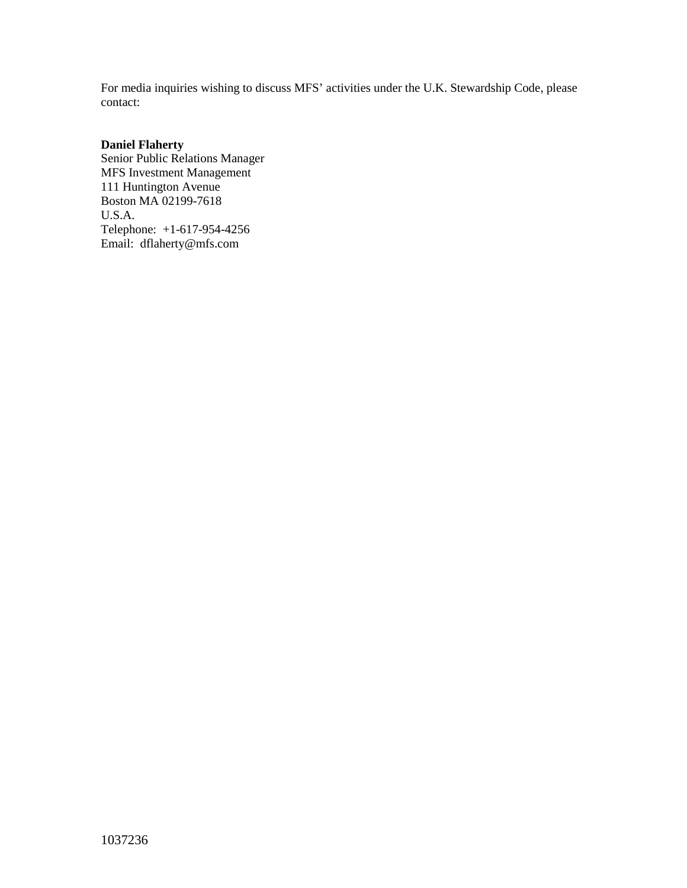For media inquiries wishing to discuss MFS' activities under the U.K. Stewardship Code, please contact:

# **Daniel Flaherty**

Senior Public Relations Manager MFS Investment Management 111 Huntington Avenue Boston MA 02199-7618 U.S.A. Telephone: +1-617-954-4256 Email: dflaherty@mfs.com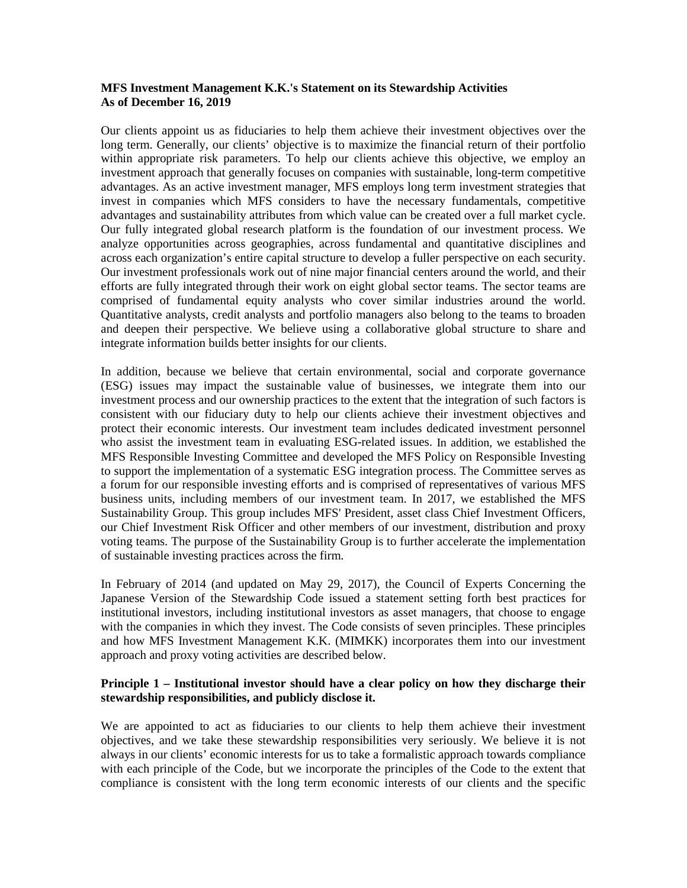### **MFS Investment Management K.K.'s Statement on its Stewardship Activities As of December 16, 2019**

Our clients appoint us as fiduciaries to help them achieve their investment objectives over the long term. Generally, our clients' objective is to maximize the financial return of their portfolio within appropriate risk parameters. To help our clients achieve this objective, we employ an investment approach that generally focuses on companies with sustainable, long-term competitive advantages. As an active investment manager, MFS employs long term investment strategies that invest in companies which MFS considers to have the necessary fundamentals, competitive advantages and sustainability attributes from which value can be created over a full market cycle. Our fully integrated global research platform is the foundation of our investment process. We analyze opportunities across geographies, across fundamental and quantitative disciplines and across each organization's entire capital structure to develop a fuller perspective on each security. Our investment professionals work out of nine major financial centers around the world, and their efforts are fully integrated through their work on eight global sector teams. The sector teams are comprised of fundamental equity analysts who cover similar industries around the world. Quantitative analysts, credit analysts and portfolio managers also belong to the teams to broaden and deepen their perspective. We believe using a collaborative global structure to share and integrate information builds better insights for our clients.

In addition, because we believe that certain environmental, social and corporate governance (ESG) issues may impact the sustainable value of businesses, we integrate them into our investment process and our ownership practices to the extent that the integration of such factors is consistent with our fiduciary duty to help our clients achieve their investment objectives and protect their economic interests. Our investment team includes dedicated investment personnel who assist the investment team in evaluating ESG-related issues. In addition, we established the MFS Responsible Investing Committee and developed the MFS Policy on Responsible Investing to support the implementation of a systematic ESG integration process. The Committee serves as a forum for our responsible investing efforts and is comprised of representatives of various MFS business units, including members of our investment team. In 2017, we established the MFS Sustainability Group. This group includes MFS' President, asset class Chief Investment Officers, our Chief Investment Risk Officer and other members of our investment, distribution and proxy voting teams. The purpose of the Sustainability Group is to further accelerate the implementation of sustainable investing practices across the firm.

In February of 2014 (and updated on May 29, 2017), the Council of Experts Concerning the Japanese Version of the Stewardship Code issued a statement setting forth best practices for institutional investors, including institutional investors as asset managers, that choose to engage with the companies in which they invest. The Code consists of seven principles. These principles and how MFS Investment Management K.K. (MIMKK) incorporates them into our investment approach and proxy voting activities are described below.

### **Principle 1 – Institutional investor should have a clear policy on how they discharge their stewardship responsibilities, and publicly disclose it.**

We are appointed to act as fiduciaries to our clients to help them achieve their investment objectives, and we take these stewardship responsibilities very seriously. We believe it is not always in our clients' economic interests for us to take a formalistic approach towards compliance with each principle of the Code, but we incorporate the principles of the Code to the extent that compliance is consistent with the long term economic interests of our clients and the specific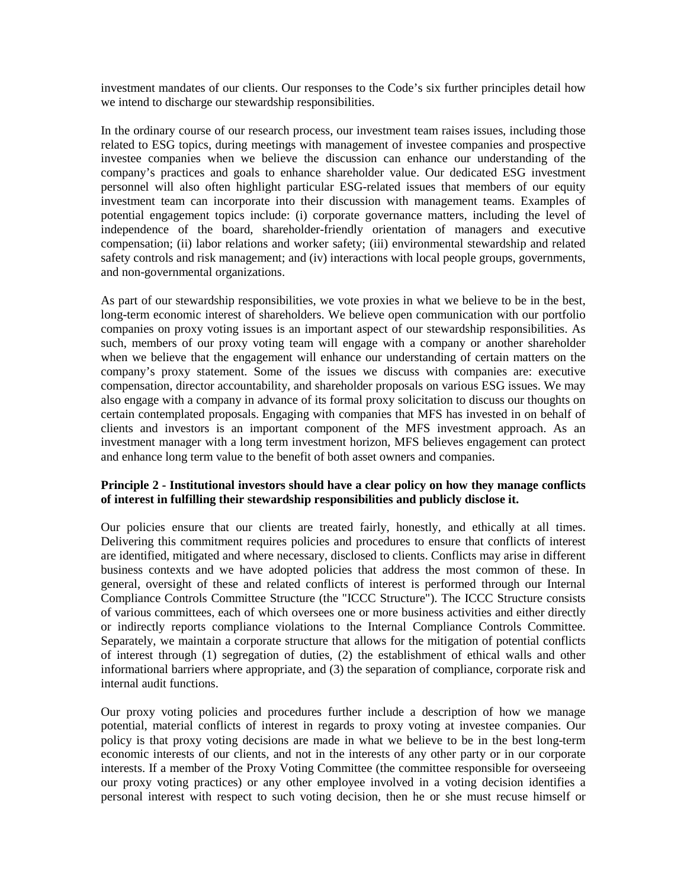investment mandates of our clients. Our responses to the Code's six further principles detail how we intend to discharge our stewardship responsibilities.

In the ordinary course of our research process, our investment team raises issues, including those related to ESG topics, during meetings with management of investee companies and prospective investee companies when we believe the discussion can enhance our understanding of the company's practices and goals to enhance shareholder value. Our dedicated ESG investment personnel will also often highlight particular ESG-related issues that members of our equity investment team can incorporate into their discussion with management teams. Examples of potential engagement topics include: (i) corporate governance matters, including the level of independence of the board, shareholder-friendly orientation of managers and executive compensation; (ii) labor relations and worker safety; (iii) environmental stewardship and related safety controls and risk management; and (iv) interactions with local people groups, governments, and non-governmental organizations.

As part of our stewardship responsibilities, we vote proxies in what we believe to be in the best, long-term economic interest of shareholders. We believe open communication with our portfolio companies on proxy voting issues is an important aspect of our stewardship responsibilities. As such, members of our proxy voting team will engage with a company or another shareholder when we believe that the engagement will enhance our understanding of certain matters on the company's proxy statement. Some of the issues we discuss with companies are: executive compensation, director accountability, and shareholder proposals on various ESG issues. We may also engage with a company in advance of its formal proxy solicitation to discuss our thoughts on certain contemplated proposals. Engaging with companies that MFS has invested in on behalf of clients and investors is an important component of the MFS investment approach. As an investment manager with a long term investment horizon, MFS believes engagement can protect and enhance long term value to the benefit of both asset owners and companies.

## **Principle 2 - Institutional investors should have a clear policy on how they manage conflicts of interest in fulfilling their stewardship responsibilities and publicly disclose it.**

Our policies ensure that our clients are treated fairly, honestly, and ethically at all times. Delivering this commitment requires policies and procedures to ensure that conflicts of interest are identified, mitigated and where necessary, disclosed to clients. Conflicts may arise in different business contexts and we have adopted policies that address the most common of these. In general, oversight of these and related conflicts of interest is performed through our Internal Compliance Controls Committee Structure (the "ICCC Structure"). The ICCC Structure consists of various committees, each of which oversees one or more business activities and either directly or indirectly reports compliance violations to the Internal Compliance Controls Committee. Separately, we maintain a corporate structure that allows for the mitigation of potential conflicts of interest through (1) segregation of duties, (2) the establishment of ethical walls and other informational barriers where appropriate, and (3) the separation of compliance, corporate risk and internal audit functions.

Our proxy voting policies and procedures further include a description of how we manage potential, material conflicts of interest in regards to proxy voting at investee companies. Our policy is that proxy voting decisions are made in what we believe to be in the best long-term economic interests of our clients, and not in the interests of any other party or in our corporate interests. If a member of the Proxy Voting Committee (the committee responsible for overseeing our proxy voting practices) or any other employee involved in a voting decision identifies a personal interest with respect to such voting decision, then he or she must recuse himself or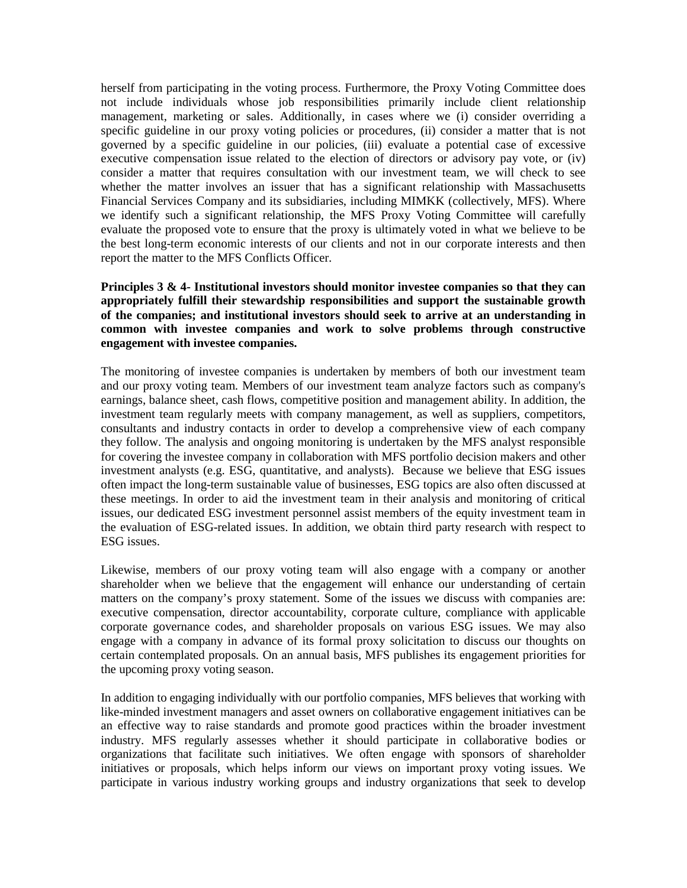herself from participating in the voting process. Furthermore, the Proxy Voting Committee does not include individuals whose job responsibilities primarily include client relationship management, marketing or sales. Additionally, in cases where we (i) consider overriding a specific guideline in our proxy voting policies or procedures, (ii) consider a matter that is not governed by a specific guideline in our policies, (iii) evaluate a potential case of excessive executive compensation issue related to the election of directors or advisory pay vote, or (iv) consider a matter that requires consultation with our investment team, we will check to see whether the matter involves an issuer that has a significant relationship with Massachusetts Financial Services Company and its subsidiaries, including MIMKK (collectively, MFS). Where we identify such a significant relationship, the MFS Proxy Voting Committee will carefully evaluate the proposed vote to ensure that the proxy is ultimately voted in what we believe to be the best long-term economic interests of our clients and not in our corporate interests and then report the matter to the MFS Conflicts Officer.

## **Principles 3 & 4- Institutional investors should monitor investee companies so that they can appropriately fulfill their stewardship responsibilities and support the sustainable growth of the companies; and institutional investors should seek to arrive at an understanding in common with investee companies and work to solve problems through constructive engagement with investee companies.**

The monitoring of investee companies is undertaken by members of both our investment team and our proxy voting team. Members of our investment team analyze factors such as company's earnings, balance sheet, cash flows, competitive position and management ability. In addition, the investment team regularly meets with company management, as well as suppliers, competitors, consultants and industry contacts in order to develop a comprehensive view of each company they follow. The analysis and ongoing monitoring is undertaken by the MFS analyst responsible for covering the investee company in collaboration with MFS portfolio decision makers and other investment analysts (e.g. ESG, quantitative, and analysts). Because we believe that ESG issues often impact the long-term sustainable value of businesses, ESG topics are also often discussed at these meetings. In order to aid the investment team in their analysis and monitoring of critical issues, our dedicated ESG investment personnel assist members of the equity investment team in the evaluation of ESG-related issues. In addition, we obtain third party research with respect to ESG issues.

Likewise, members of our proxy voting team will also engage with a company or another shareholder when we believe that the engagement will enhance our understanding of certain matters on the company's proxy statement. Some of the issues we discuss with companies are: executive compensation, director accountability, corporate culture, compliance with applicable corporate governance codes, and shareholder proposals on various ESG issues. We may also engage with a company in advance of its formal proxy solicitation to discuss our thoughts on certain contemplated proposals. On an annual basis, MFS publishes its engagement priorities for the upcoming proxy voting season.

In addition to engaging individually with our portfolio companies, MFS believes that working with like-minded investment managers and asset owners on collaborative engagement initiatives can be an effective way to raise standards and promote good practices within the broader investment industry. MFS regularly assesses whether it should participate in collaborative bodies or organizations that facilitate such initiatives. We often engage with sponsors of shareholder initiatives or proposals, which helps inform our views on important proxy voting issues. We participate in various industry working groups and industry organizations that seek to develop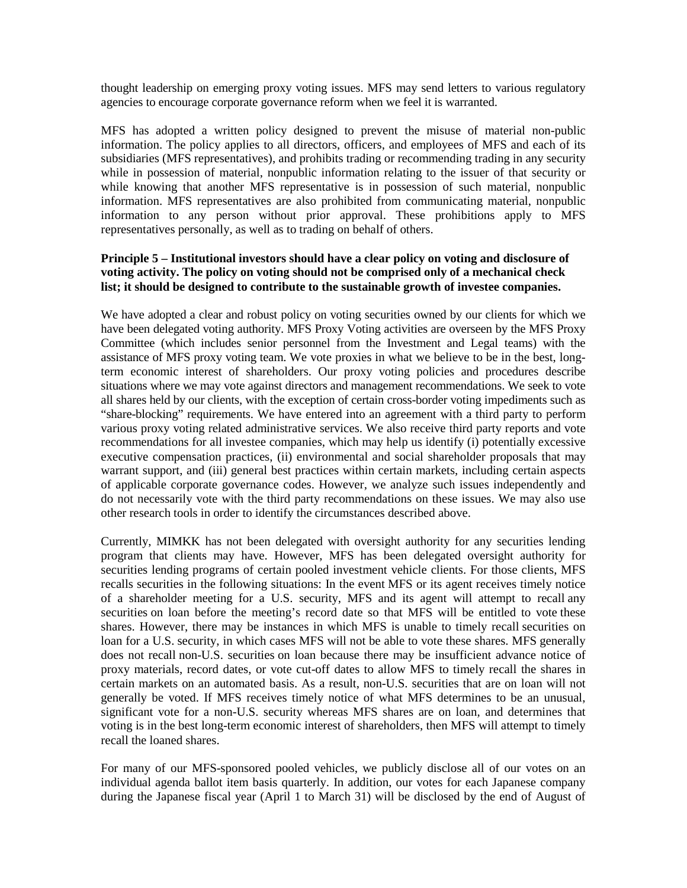thought leadership on emerging proxy voting issues. MFS may send letters to various regulatory agencies to encourage corporate governance reform when we feel it is warranted.

MFS has adopted a written policy designed to prevent the misuse of material non-public information. The policy applies to all directors, officers, and employees of MFS and each of its subsidiaries (MFS representatives), and prohibits trading or recommending trading in any security while in possession of material, nonpublic information relating to the issuer of that security or while knowing that another MFS representative is in possession of such material, nonpublic information. MFS representatives are also prohibited from communicating material, nonpublic information to any person without prior approval. These prohibitions apply to MFS representatives personally, as well as to trading on behalf of others.

# **Principle 5 – Institutional investors should have a clear policy on voting and disclosure of voting activity. The policy on voting should not be comprised only of a mechanical check list; it should be designed to contribute to the sustainable growth of investee companies.**

We have adopted a clear and robust policy on voting securities owned by our clients for which we have been delegated voting authority. MFS Proxy Voting activities are overseen by the MFS Proxy Committee (which includes senior personnel from the Investment and Legal teams) with the assistance of MFS proxy voting team. We vote proxies in what we believe to be in the best, longterm economic interest of shareholders. Our proxy voting policies and procedures describe situations where we may vote against directors and management recommendations. We seek to vote all shares held by our clients, with the exception of certain cross-border voting impediments such as "share-blocking" requirements. We have entered into an agreement with a third party to perform various proxy voting related administrative services. We also receive third party reports and vote recommendations for all investee companies, which may help us identify (i) potentially excessive executive compensation practices, (ii) environmental and social shareholder proposals that may warrant support, and (iii) general best practices within certain markets, including certain aspects of applicable corporate governance codes. However, we analyze such issues independently and do not necessarily vote with the third party recommendations on these issues. We may also use other research tools in order to identify the circumstances described above.

Currently, MIMKK has not been delegated with oversight authority for any securities lending program that clients may have. However, MFS has been delegated oversight authority for securities lending programs of certain pooled investment vehicle clients. For those clients, MFS recalls securities in the following situations: In the event MFS or its agent receives timely notice of a shareholder meeting for a U.S. security, MFS and its agent will attempt to recall any securities on loan before the meeting's record date so that MFS will be entitled to vote these shares. However, there may be instances in which MFS is unable to timely recall securities on loan for a U.S. security, in which cases MFS will not be able to vote these shares. MFS generally does not recall non-U.S. securities on loan because there may be insufficient advance notice of proxy materials, record dates, or vote cut-off dates to allow MFS to timely recall the shares in certain markets on an automated basis. As a result, non-U.S. securities that are on loan will not generally be voted. If MFS receives timely notice of what MFS determines to be an unusual, significant vote for a non-U.S. security whereas MFS shares are on loan, and determines that voting is in the best long-term economic interest of shareholders, then MFS will attempt to timely recall the loaned shares.

For many of our MFS-sponsored pooled vehicles, we publicly disclose all of our votes on an individual agenda ballot item basis quarterly. In addition, our votes for each Japanese company during the Japanese fiscal year (April 1 to March 31) will be disclosed by the end of August of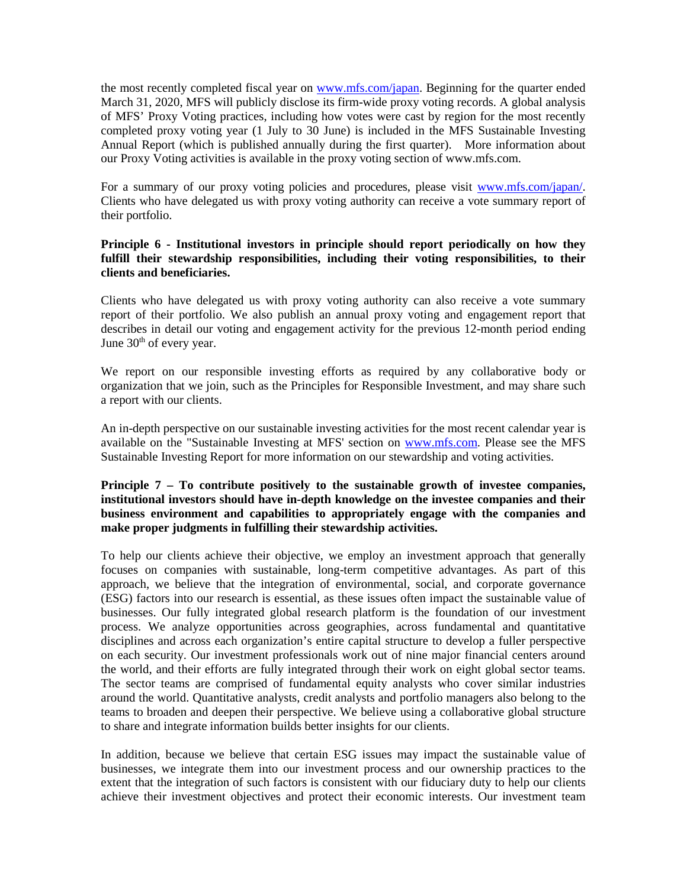the most recently completed fiscal year on [www.mfs.com/japan.](http://www.mfs.com/japan) Beginning for the quarter ended March 31, 2020, MFS will publicly disclose its firm-wide proxy voting records. A global analysis of MFS' Proxy Voting practices, including how votes were cast by region for the most recently completed proxy voting year (1 July to 30 June) is included in the MFS Sustainable Investing Annual Report (which is published annually during the first quarter). More information about our Proxy Voting activities is available in the proxy voting section of www.mfs.com.

For a summary of our proxy voting policies and procedures, please visit www.mfs.com/japan/. Clients who have delegated us with proxy voting authority can receive a vote summary report of their portfolio.

# **Principle 6 - Institutional investors in principle should report periodically on how they fulfill their stewardship responsibilities, including their voting responsibilities, to their clients and beneficiaries.**

Clients who have delegated us with proxy voting authority can also receive a vote summary report of their portfolio. We also publish an annual proxy voting and engagement report that describes in detail our voting and engagement activity for the previous 12-month period ending June  $30<sup>th</sup>$  of every year.

We report on our responsible investing efforts as required by any collaborative body or organization that we join, such as the Principles for Responsible Investment, and may share such a report with our clients.

An in-depth perspective on our sustainable investing activities for the most recent calendar year is available on the "Sustainable Investing at MFS' section on [www.mfs.com.](http://www.mfs.com/) Please see the MFS Sustainable Investing Report for more information on our stewardship and voting activities.

# **Principle 7 – To contribute positively to the sustainable growth of investee companies, institutional investors should have in-depth knowledge on the investee companies and their business environment and capabilities to appropriately engage with the companies and make proper judgments in fulfilling their stewardship activities.**

To help our clients achieve their objective, we employ an investment approach that generally focuses on companies with sustainable, long-term competitive advantages. As part of this approach, we believe that the integration of environmental, social, and corporate governance (ESG) factors into our research is essential, as these issues often impact the sustainable value of businesses. Our fully integrated global research platform is the foundation of our investment process. We analyze opportunities across geographies, across fundamental and quantitative disciplines and across each organization's entire capital structure to develop a fuller perspective on each security. Our investment professionals work out of nine major financial centers around the world, and their efforts are fully integrated through their work on eight global sector teams. The sector teams are comprised of fundamental equity analysts who cover similar industries around the world. Quantitative analysts, credit analysts and portfolio managers also belong to the teams to broaden and deepen their perspective. We believe using a collaborative global structure to share and integrate information builds better insights for our clients.

In addition, because we believe that certain ESG issues may impact the sustainable value of businesses, we integrate them into our investment process and our ownership practices to the extent that the integration of such factors is consistent with our fiduciary duty to help our clients achieve their investment objectives and protect their economic interests. Our investment team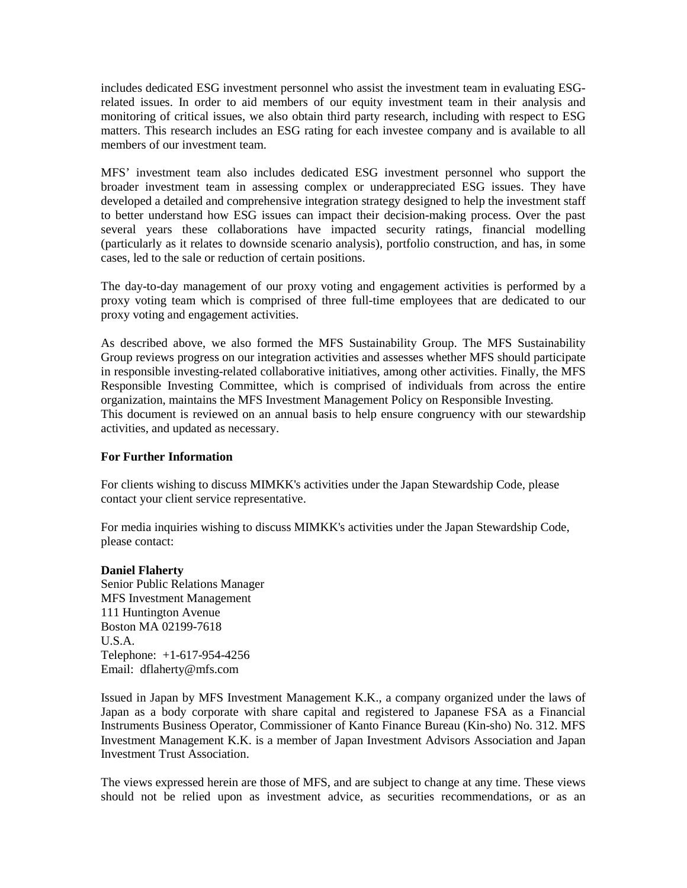includes dedicated ESG investment personnel who assist the investment team in evaluating ESGrelated issues. In order to aid members of our equity investment team in their analysis and monitoring of critical issues, we also obtain third party research, including with respect to ESG matters. This research includes an ESG rating for each investee company and is available to all members of our investment team.

MFS' investment team also includes dedicated ESG investment personnel who support the broader investment team in assessing complex or underappreciated ESG issues. They have developed a detailed and comprehensive integration strategy designed to help the investment staff to better understand how ESG issues can impact their decision-making process. Over the past several years these collaborations have impacted security ratings, financial modelling (particularly as it relates to downside scenario analysis), portfolio construction, and has, in some cases, led to the sale or reduction of certain positions.

The day-to-day management of our proxy voting and engagement activities is performed by a proxy voting team which is comprised of three full-time employees that are dedicated to our proxy voting and engagement activities.

As described above, we also formed the MFS Sustainability Group. The MFS Sustainability Group reviews progress on our integration activities and assesses whether MFS should participate in responsible investing-related collaborative initiatives, among other activities. Finally, the MFS Responsible Investing Committee, which is comprised of individuals from across the entire organization, maintains the MFS Investment Management Policy on Responsible Investing. This document is reviewed on an annual basis to help ensure congruency with our stewardship activities, and updated as necessary.

## **For Further Information**

For clients wishing to discuss MIMKK's activities under the Japan Stewardship Code, please contact your client service representative.

For media inquiries wishing to discuss MIMKK's activities under the Japan Stewardship Code, please contact:

## **Daniel Flaherty**

Senior Public Relations Manager MFS Investment Management 111 Huntington Avenue Boston MA 02199-7618 U.S.A. Telephone: +1-617-954-4256 Email: dflaherty@mfs.com

Issued in Japan by MFS Investment Management K.K., a company organized under the laws of Japan as a body corporate with share capital and registered to Japanese FSA as a Financial Instruments Business Operator, Commissioner of Kanto Finance Bureau (Kin-sho) No. 312. MFS Investment Management K.K. is a member of Japan Investment Advisors Association and Japan Investment Trust Association.

The views expressed herein are those of MFS, and are subject to change at any time. These views should not be relied upon as investment advice, as securities recommendations, or as an